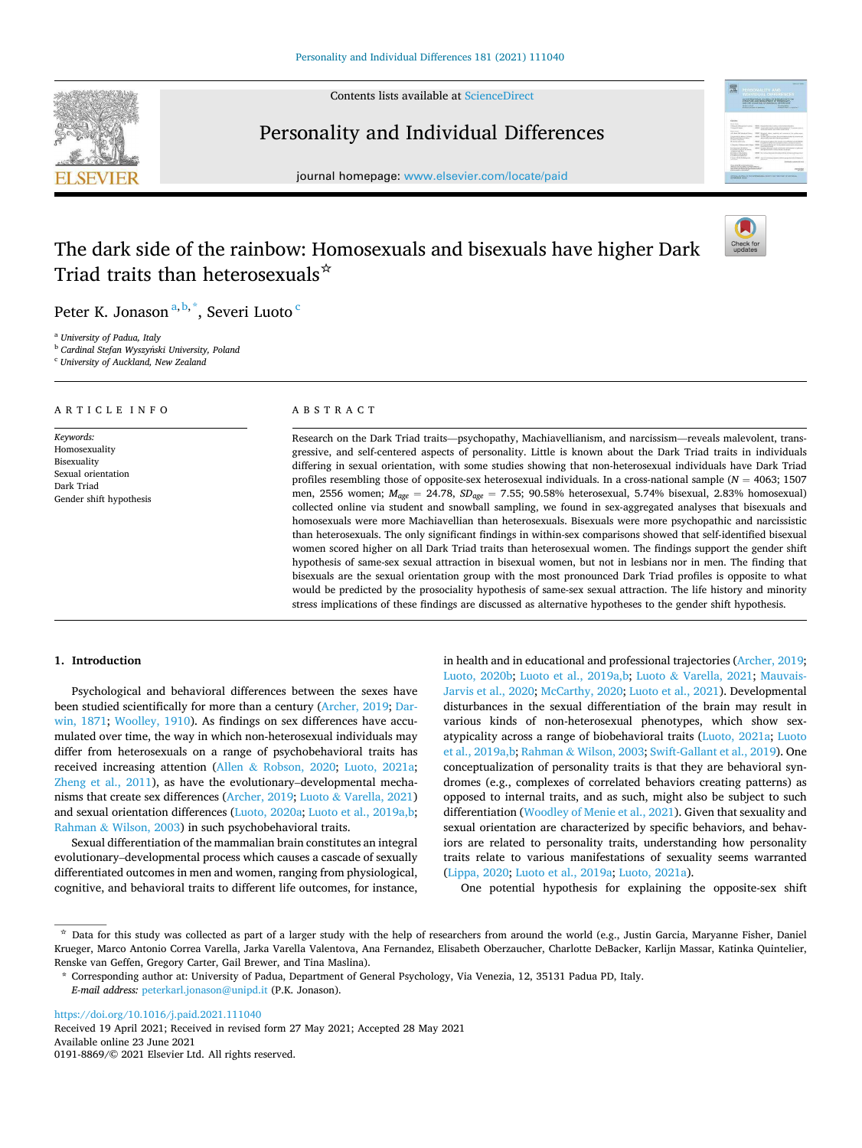

Contents lists available at [ScienceDirect](www.sciencedirect.com/science/journal/01918869)

## Personality and Individual Differences



journal homepage: [www.elsevier.com/locate/paid](https://www.elsevier.com/locate/paid)

# The dark side of the rainbow: Homosexuals and bisexuals have higher Dark Triad traits than heterosexuals☆



Peter K. Jonason<sup>a, b, \*</sup>, Severi Luoto <sup>c</sup>

<sup>a</sup> *University of Padua, Italy* 

<sup>b</sup> *Cardinal Stefan Wyszynski University, Poland* ´

<sup>c</sup> *University of Auckland, New Zealand* 

#### A R T I C L E I N F O

*Keywords:*  Homosexuality Bisexuality Sexual orientation Dark Triad Gender shift hypothesis

## ABSTRACT

Research on the Dark Triad traits—psychopathy, Machiavellianism, and narcissism—reveals malevolent, transgressive, and self-centered aspects of personality. Little is known about the Dark Triad traits in individuals differing in sexual orientation, with some studies showing that non-heterosexual individuals have Dark Triad profiles resembling those of opposite-sex heterosexual individuals. In a cross-national sample (*N* = 4063; 1507 men, 2556 women; *Mage* = 24.78, *SDage* = 7.55; 90.58% heterosexual, 5.74% bisexual, 2.83% homosexual) collected online via student and snowball sampling, we found in sex-aggregated analyses that bisexuals and homosexuals were more Machiavellian than heterosexuals. Bisexuals were more psychopathic and narcissistic than heterosexuals. The only significant findings in within-sex comparisons showed that self-identified bisexual women scored higher on all Dark Triad traits than heterosexual women. The findings support the gender shift hypothesis of same-sex sexual attraction in bisexual women, but not in lesbians nor in men. The finding that bisexuals are the sexual orientation group with the most pronounced Dark Triad profiles is opposite to what would be predicted by the prosociality hypothesis of same-sex sexual attraction. The life history and minority stress implications of these findings are discussed as alternative hypotheses to the gender shift hypothesis.

## **1. Introduction**

Psychological and behavioral differences between the sexes have been studied scientifically for more than a century [\(Archer, 2019; Dar](#page-4-0)[win, 1871](#page-4-0); [Woolley, 1910\)](#page-5-0). As findings on sex differences have accumulated over time, the way in which non-heterosexual individuals may differ from heterosexuals on a range of psychobehavioral traits has received increasing attention (Allen & [Robson, 2020](#page-4-0); [Luoto, 2021a](#page-4-0); [Zheng et al., 2011](#page-5-0)), as have the evolutionary–developmental mechanisms that create sex differences ([Archer, 2019;](#page-4-0) Luoto & [Varella, 2021\)](#page-5-0) and sexual orientation differences [\(Luoto, 2020a; Luoto et al., 2019a,b](#page-4-0); Rahman & [Wilson, 2003\)](#page-5-0) in such psychobehavioral traits.

Sexual differentiation of the mammalian brain constitutes an integral evolutionary–developmental process which causes a cascade of sexually differentiated outcomes in men and women, ranging from physiological, cognitive, and behavioral traits to different life outcomes, for instance,

in health and in educational and professional trajectories ([Archer, 2019](#page-4-0); [Luoto, 2020b](#page-4-0); [Luoto et al., 2019a,b;](#page-4-0) Luoto & [Varella, 2021](#page-5-0); [Mauvais-](#page-5-0)[Jarvis et al., 2020](#page-5-0); [McCarthy, 2020; Luoto et al., 2021](#page-5-0)). Developmental disturbances in the sexual differentiation of the brain may result in various kinds of non-heterosexual phenotypes, which show sexatypicality across a range of biobehavioral traits [\(Luoto, 2021a;](#page-4-0) [Luoto](#page-4-0)  [et al., 2019a,b](#page-4-0); Rahman & [Wilson, 2003](#page-5-0); [Swift-Gallant et al., 2019](#page-5-0)). One conceptualization of personality traits is that they are behavioral syndromes (e.g., complexes of correlated behaviors creating patterns) as opposed to internal traits, and as such, might also be subject to such differentiation [\(Woodley of Menie et al., 2021](#page-5-0)). Given that sexuality and sexual orientation are characterized by specific behaviors, and behaviors are related to personality traits, understanding how personality traits relate to various manifestations of sexuality seems warranted ([Lippa, 2020; Luoto et al., 2019a](#page-4-0); [Luoto, 2021a\)](#page-4-0).

One potential hypothesis for explaining the opposite-sex shift

<https://doi.org/10.1016/j.paid.2021.111040>

Available online 23 June 2021 0191-8869/© 2021 Elsevier Ltd. All rights reserved. Received 19 April 2021; Received in revised form 27 May 2021; Accepted 28 May 2021

<sup>☆</sup> Data for this study was collected as part of a larger study with the help of researchers from around the world (e.g., Justin Garcia, Maryanne Fisher, Daniel Krueger, Marco Antonio Correa Varella, Jarka Varella Valentova, Ana Fernandez, Elisabeth Oberzaucher, Charlotte DeBacker, Karlijn Massar, Katinka Quintelier, Renske van Geffen, Gregory Carter, Gail Brewer, and Tina Maslina).

<sup>\*</sup> Corresponding author at: University of Padua, Department of General Psychology, Via Venezia, 12, 35131 Padua PD, Italy. *E-mail address:* [peterkarl.jonason@unipd.it](mailto:peterkarl.jonason@unipd.it) (P.K. Jonason).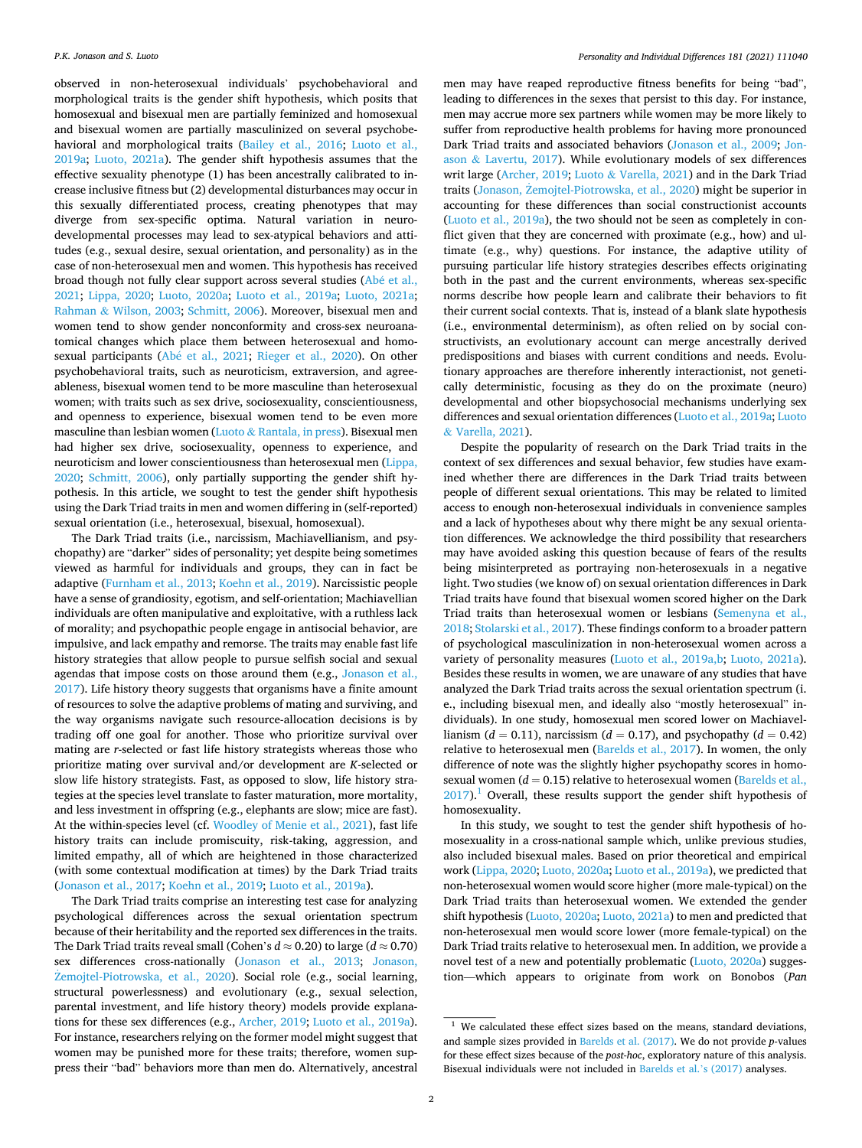observed in non-heterosexual individuals' psychobehavioral and morphological traits is the gender shift hypothesis, which posits that homosexual and bisexual men are partially feminized and homosexual and bisexual women are partially masculinized on several psychobehavioral and morphological traits ([Bailey et al., 2016;](#page-4-0) [Luoto et al.,](#page-4-0)  [2019a;](#page-4-0) [Luoto, 2021a](#page-4-0)). The gender shift hypothesis assumes that the effective sexuality phenotype (1) has been ancestrally calibrated to increase inclusive fitness but (2) developmental disturbances may occur in this sexually differentiated process, creating phenotypes that may diverge from sex-specific optima. Natural variation in neurodevelopmental processes may lead to sex-atypical behaviors and attitudes (e.g., sexual desire, sexual orientation, and personality) as in the case of non-heterosexual men and women. This hypothesis has received broad though not fully clear support across several studies (Abé et al., [2021;](#page-4-0) [Lippa, 2020](#page-4-0); [Luoto, 2020a;](#page-4-0) [Luoto et al., 2019a](#page-4-0); [Luoto, 2021a](#page-4-0); Rahman & [Wilson, 2003](#page-5-0); [Schmitt, 2006\)](#page-5-0). Moreover, bisexual men and women tend to show gender nonconformity and cross-sex neuroanatomical changes which place them between heterosexual and homo-sexual participants (Abé et al., 2021; [Rieger et al., 2020](#page-5-0)). On other psychobehavioral traits, such as neuroticism, extraversion, and agreeableness, bisexual women tend to be more masculine than heterosexual women; with traits such as sex drive, sociosexuality, conscientiousness, and openness to experience, bisexual women tend to be even more masculine than lesbian women (Luoto & [Rantala, in press\)](#page-5-0). Bisexual men had higher sex drive, sociosexuality, openness to experience, and neuroticism and lower conscientiousness than heterosexual men ([Lippa,](#page-4-0)  [2020;](#page-4-0) [Schmitt, 2006](#page-5-0)), only partially supporting the gender shift hypothesis. In this article, we sought to test the gender shift hypothesis using the Dark Triad traits in men and women differing in (self-reported) sexual orientation (i.e., heterosexual, bisexual, homosexual).

The Dark Triad traits (i.e., narcissism, Machiavellianism, and psychopathy) are "darker" sides of personality; yet despite being sometimes viewed as harmful for individuals and groups, they can in fact be adaptive [\(Furnham et al., 2013; Koehn et al., 2019\)](#page-4-0). Narcissistic people have a sense of grandiosity, egotism, and self-orientation; Machiavellian individuals are often manipulative and exploitative, with a ruthless lack of morality; and psychopathic people engage in antisocial behavior, are impulsive, and lack empathy and remorse. The traits may enable fast life history strategies that allow people to pursue selfish social and sexual agendas that impose costs on those around them (e.g., [Jonason et al.,](#page-4-0)  [2017\)](#page-4-0). Life history theory suggests that organisms have a finite amount of resources to solve the adaptive problems of mating and surviving, and the way organisms navigate such resource-allocation decisions is by trading off one goal for another. Those who prioritize survival over mating are *r*-selected or fast life history strategists whereas those who prioritize mating over survival and/or development are *K*-selected or slow life history strategists. Fast, as opposed to slow, life history strategies at the species level translate to faster maturation, more mortality, and less investment in offspring (e.g., elephants are slow; mice are fast). At the within-species level (cf. [Woodley of Menie et al., 2021\)](#page-5-0), fast life history traits can include promiscuity, risk-taking, aggression, and limited empathy, all of which are heightened in those characterized (with some contextual modification at times) by the Dark Triad traits ([Jonason et al., 2017](#page-4-0); [Koehn et al., 2019; Luoto et al., 2019a](#page-4-0)).

The Dark Triad traits comprise an interesting test case for analyzing psychological differences across the sexual orientation spectrum because of their heritability and the reported sex differences in the traits. The Dark Triad traits reveal small (Cohen's *d* ≈ 0.20) to large (*d* ≈ 0.70) sex differences cross-nationally [\(Jonason et al., 2013;](#page-4-0) [Jonason,](#page-4-0)  Żemojtel-Piotrowska, et al., 2020). Social role (e.g., social learning, structural powerlessness) and evolutionary (e.g., sexual selection, parental investment, and life history theory) models provide explanations for these sex differences (e.g., [Archer, 2019; Luoto et al., 2019a](#page-4-0)). For instance, researchers relying on the former model might suggest that women may be punished more for these traits; therefore, women suppress their "bad" behaviors more than men do. Alternatively, ancestral men may have reaped reproductive fitness benefits for being "bad", leading to differences in the sexes that persist to this day. For instance, men may accrue more sex partners while women may be more likely to suffer from reproductive health problems for having more pronounced Dark Triad traits and associated behaviors [\(Jonason et al., 2009](#page-4-0); [Jon](#page-4-0)ason & [Lavertu, 2017\)](#page-4-0). While evolutionary models of sex differences writ large [\(Archer, 2019;](#page-4-0) Luoto & [Varella, 2021\)](#page-5-0) and in the Dark Triad traits [\(Jonason, Zemojtel-Piotrowska, et al., 2020](#page-4-0)) might be superior in accounting for these differences than social constructionist accounts ([Luoto et al., 2019a\)](#page-4-0), the two should not be seen as completely in conflict given that they are concerned with proximate (e.g., how) and ultimate (e.g., why) questions. For instance, the adaptive utility of pursuing particular life history strategies describes effects originating both in the past and the current environments, whereas sex-specific norms describe how people learn and calibrate their behaviors to fit their current social contexts. That is, instead of a blank slate hypothesis (i.e., environmental determinism), as often relied on by social constructivists, an evolutionary account can merge ancestrally derived predispositions and biases with current conditions and needs. Evolutionary approaches are therefore inherently interactionist, not genetically deterministic, focusing as they do on the proximate (neuro) developmental and other biopsychosocial mechanisms underlying sex differences and sexual orientation differences ([Luoto et al., 2019a;](#page-4-0) [Luoto](#page-5-0)  & [Varella, 2021\)](#page-5-0).

Despite the popularity of research on the Dark Triad traits in the context of sex differences and sexual behavior, few studies have examined whether there are differences in the Dark Triad traits between people of different sexual orientations. This may be related to limited access to enough non-heterosexual individuals in convenience samples and a lack of hypotheses about why there might be any sexual orientation differences. We acknowledge the third possibility that researchers may have avoided asking this question because of fears of the results being misinterpreted as portraying non-heterosexuals in a negative light. Two studies (we know of) on sexual orientation differences in Dark Triad traits have found that bisexual women scored higher on the Dark Triad traits than heterosexual women or lesbians [\(Semenyna et al.,](#page-5-0)  [2018; Stolarski et al., 2017](#page-5-0)). These findings conform to a broader pattern of psychological masculinization in non-heterosexual women across a variety of personality measures ([Luoto et al., 2019a,b;](#page-4-0) [Luoto, 2021a](#page-4-0)). Besides these results in women, we are unaware of any studies that have analyzed the Dark Triad traits across the sexual orientation spectrum (i. e., including bisexual men, and ideally also "mostly heterosexual" individuals). In one study, homosexual men scored lower on Machiavellianism ( $d = 0.11$ ), narcissism ( $d = 0.17$ ), and psychopathy ( $d = 0.42$ ) relative to heterosexual men ([Barelds et al., 2017](#page-4-0)). In women, the only difference of note was the slightly higher psychopathy scores in homosexual women  $(d = 0.15)$  relative to heterosexual women (Barelds et al.,  $2017$ ).<sup>1</sup> Overall, these results support the gender shift hypothesis of homosexuality.

In this study, we sought to test the gender shift hypothesis of homosexuality in a cross-national sample which, unlike previous studies, also included bisexual males. Based on prior theoretical and empirical work [\(Lippa, 2020; Luoto, 2020a; Luoto et al., 2019a\)](#page-4-0), we predicted that non-heterosexual women would score higher (more male-typical) on the Dark Triad traits than heterosexual women. We extended the gender shift hypothesis [\(Luoto, 2020a; Luoto, 2021a\)](#page-4-0) to men and predicted that non-heterosexual men would score lower (more female-typical) on the Dark Triad traits relative to heterosexual men. In addition, we provide a novel test of a new and potentially problematic ([Luoto, 2020a\)](#page-4-0) suggestion—which appears to originate from work on Bonobos (*Pan* 

 $1$  We calculated these effect sizes based on the means, standard deviations, and sample sizes provided in [Barelds et al. \(2017\)](#page-4-0). We do not provide *p*-values for these effect sizes because of the *post-hoc*, exploratory nature of this analysis. Bisexual individuals were not included in [Barelds et al.](#page-4-0)'s (2017) analyses.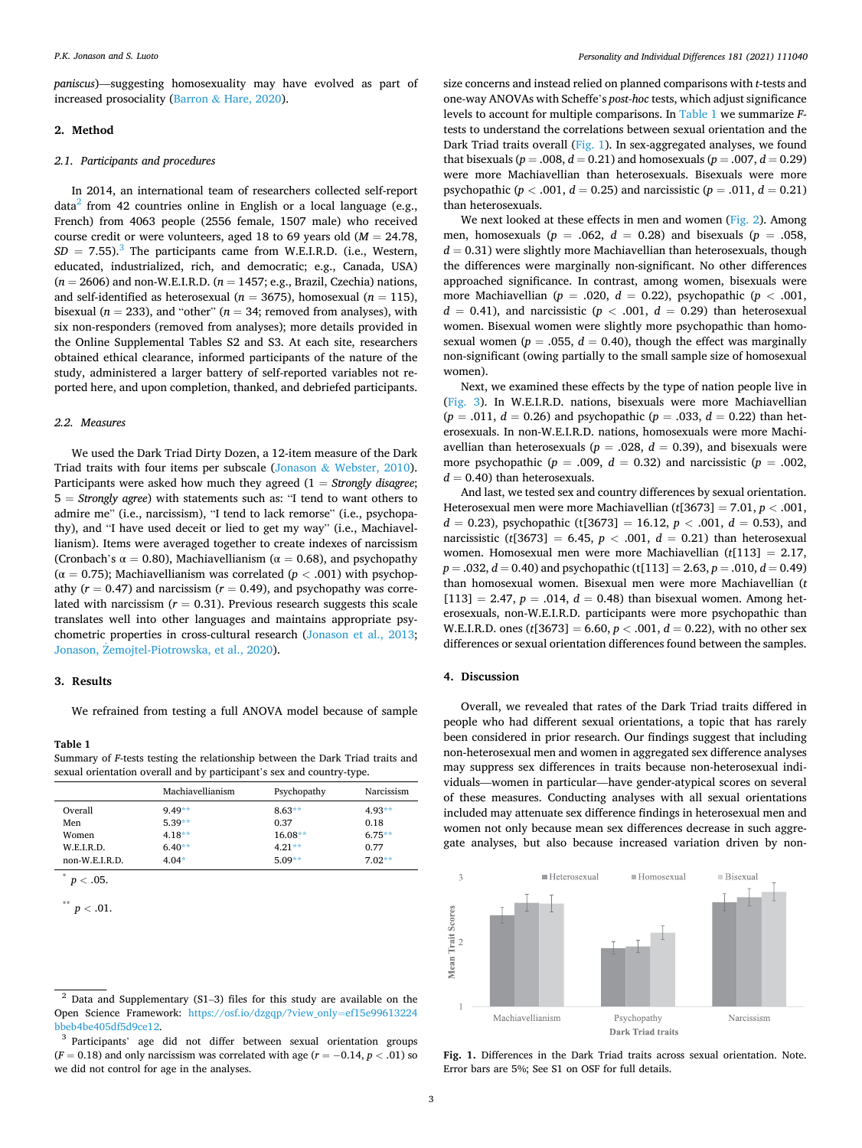*paniscus*)—suggesting homosexuality may have evolved as part of increased prosociality (Barron & [Hare, 2020\)](#page-4-0).

## **2. Method**

## *2.1. Participants and procedures*

In 2014, an international team of researchers collected self-report data<sup>2</sup> from 42 countries online in English or a local language (e.g., French) from 4063 people (2556 female, 1507 male) who received course credit or were volunteers, aged 18 to 69 years old (*M* = 24.78,  $SD = 7.55$ ).<sup>3</sup> The participants came from W.E.I.R.D. (i.e., Western, educated, industrialized, rich, and democratic; e.g., Canada, USA) (*n* = 2606) and non-W.E.I.R.D. (*n* = 1457; e.g., Brazil, Czechia) nations, and self-identified as heterosexual ( $n = 3675$ ), homosexual ( $n = 115$ ), bisexual ( $n = 233$ ), and "other" ( $n = 34$ ; removed from analyses), with six non-responders (removed from analyses); more details provided in the Online Supplemental Tables S2 and S3. At each site, researchers obtained ethical clearance, informed participants of the nature of the study, administered a larger battery of self-reported variables not reported here, and upon completion, thanked, and debriefed participants.

#### *2.2. Measures*

We used the Dark Triad Dirty Dozen, a 12-item measure of the Dark Triad traits with four items per subscale (Jonason & [Webster, 2010](#page-4-0)). Participants were asked how much they agreed (1 = *Strongly disagree*; 5 = *Strongly agree*) with statements such as: "I tend to want others to admire me" (i.e., narcissism), "I tend to lack remorse" (i.e., psychopathy), and "I have used deceit or lied to get my way" (i.e., Machiavellianism). Items were averaged together to create indexes of narcissism (Cronbach's  $\alpha = 0.80$ ), Machiavellianism ( $\alpha = 0.68$ ), and psychopathy (α = 0.75); Machiavellianism was correlated (*p <* .001) with psychopathy  $(r = 0.47)$  and narcissism  $(r = 0.49)$ , and psychopathy was correlated with narcissism  $(r = 0.31)$ . Previous research suggests this scale translates well into other languages and maintains appropriate psychometric properties in cross-cultural research [\(Jonason et al., 2013](#page-4-0); Jonason, Żemojtel-Piotrowska, et al., 2020).

## **3. Results**

We refrained from testing a full ANOVA model because of sample

#### **Table 1**

Summary of *F*-tests testing the relationship between the Dark Triad traits and sexual orientation overall and by participant's sex and country-type.

|                  | Machiavellianism | Psychopathy | Narcissism |
|------------------|------------------|-------------|------------|
| Overall          | $9.49**$         | $8.63**$    | $4.93**$   |
| Men              | $5.39**$         | 0.37        | 0.18       |
| Women            | $4.18**$         | $16.08**$   | $6.75**$   |
| W.F.I.R.D.       | $6.40**$         | $4.21**$    | 0.77       |
| $non-W.E.I.R.D.$ | $4.04*$          | $5.09**$    | $7.02**$   |

 $\degree$  *p* < .05.

 $p < .01$ .

size concerns and instead relied on planned comparisons with *t*-tests and one-way ANOVAs with Scheffe's *post-hoc* tests, which adjust significance levels to account for multiple comparisons. In Table 1 we summarize *F*tests to understand the correlations between sexual orientation and the Dark Triad traits overall (Fig. 1). In sex-aggregated analyses, we found that bisexuals ( $p = .008$ ,  $d = 0.21$ ) and homosexuals ( $p = .007$ ,  $d = 0.29$ ) were more Machiavellian than heterosexuals. Bisexuals were more psychopathic ( $p < .001$ ,  $d = 0.25$ ) and narcissistic ( $p = .011$ ,  $d = 0.21$ ) than heterosexuals.

We next looked at these effects in men and women ([Fig. 2\)](#page-3-0). Among men, homosexuals ( $p = .062$ ,  $d = 0.28$ ) and bisexuals ( $p = .058$ ,  $d = 0.31$ ) were slightly more Machiavellian than heterosexuals, though the differences were marginally non-significant. No other differences approached significance. In contrast, among women, bisexuals were more Machiavellian (*p* = .020, *d* = 0.22), psychopathic (*p <* .001,  $d = 0.41$ , and narcissistic ( $p < .001$ ,  $d = 0.29$ ) than heterosexual women. Bisexual women were slightly more psychopathic than homosexual women ( $p = .055$ ,  $d = 0.40$ ), though the effect was marginally non-significant (owing partially to the small sample size of homosexual women).

Next, we examined these effects by the type of nation people live in ([Fig. 3\)](#page-3-0). In W.E.I.R.D. nations, bisexuals were more Machiavellian  $(p = .011, d = 0.26)$  and psychopathic  $(p = .033, d = 0.22)$  than heterosexuals. In non-W.E.I.R.D. nations, homosexuals were more Machiavellian than heterosexuals ( $p = .028$ ,  $d = 0.39$ ), and bisexuals were more psychopathic ( $p = .009$ ,  $d = 0.32$ ) and narcissistic ( $p = .002$ ,  $d = 0.40$ ) than heterosexuals.

And last, we tested sex and country differences by sexual orientation. Heterosexual men were more Machiavellian (*t*[3673] = 7.01, *p <* .001,  $d = 0.23$ , psychopathic (t[3673] = 16.12,  $p < .001$ ,  $d = 0.53$ ), and narcissistic ( $t[3673] = 6.45$ ,  $p < .001$ ,  $d = 0.21$ ) than heterosexual women. Homosexual men were more Machiavellian (*t*[113] = 2.17,  $p = .032, d = 0.40$  and psychopathic (t[113] = 2.63,  $p = .010, d = 0.49$ ) than homosexual women. Bisexual men were more Machiavellian (*t*   $[113] = 2.47, p = .014, d = 0.48$  than bisexual women. Among heterosexuals, non-W.E.I.R.D. participants were more psychopathic than W.E.I.R.D. ones ( $t[3673] = 6.60, p < .001, d = 0.22$ ), with no other sex differences or sexual orientation differences found between the samples.

### **4. Discussion**

Overall, we revealed that rates of the Dark Triad traits differed in people who had different sexual orientations, a topic that has rarely been considered in prior research. Our findings suggest that including non-heterosexual men and women in aggregated sex difference analyses may suppress sex differences in traits because non-heterosexual individuals—women in particular—have gender-atypical scores on several of these measures. Conducting analyses with all sexual orientations included may attenuate sex difference findings in heterosexual men and women not only because mean sex differences decrease in such aggregate analyses, but also because increased variation driven by non-



**Fig. 1.** Differences in the Dark Triad traits across sexual orientation. Note. Error bars are 5%; See S1 on OSF for full details.

 $2$  Data and Supplementary (S1-3) files for this study are available on the Open Science Framework: [https://osf.io/dzgqp/?view\\_only](https://osf.io/dzgqp/?view_only=ef15e99613224bbeb4be405df5d9ce12)=ef15e99613224 [bbeb4be405df5d9ce12](https://osf.io/dzgqp/?view_only=ef15e99613224bbeb4be405df5d9ce12).

<sup>&</sup>lt;sup>3</sup> Participants' age did not differ between sexual orientation groups  $(F = 0.18)$  and only narcissism was correlated with age  $(r = -0.14, p < .01)$  so we did not control for age in the analyses.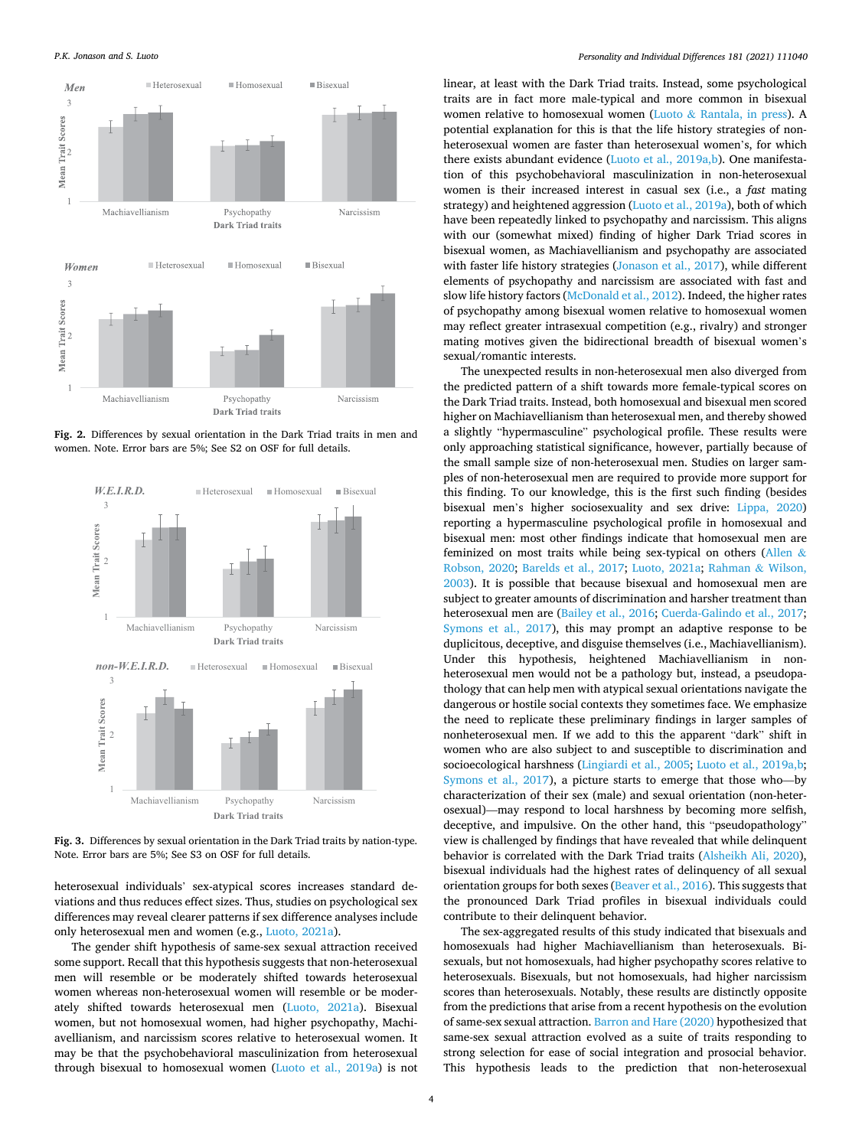<span id="page-3-0"></span>*P.K. Jonason and S. Luoto* 



**Fig. 2.** Differences by sexual orientation in the Dark Triad traits in men and women. Note. Error bars are 5%; See S2 on OSF for full details.



**Fig. 3.** Differences by sexual orientation in the Dark Triad traits by nation-type. Note. Error bars are 5%; See S3 on OSF for full details.

heterosexual individuals' sex-atypical scores increases standard deviations and thus reduces effect sizes. Thus, studies on psychological sex differences may reveal clearer patterns if sex difference analyses include only heterosexual men and women (e.g., [Luoto, 2021a\)](#page-4-0).

The gender shift hypothesis of same-sex sexual attraction received some support. Recall that this hypothesis suggests that non-heterosexual men will resemble or be moderately shifted towards heterosexual women whereas non-heterosexual women will resemble or be moderately shifted towards heterosexual men [\(Luoto, 2021a](#page-4-0)). Bisexual women, but not homosexual women, had higher psychopathy, Machiavellianism, and narcissism scores relative to heterosexual women. It may be that the psychobehavioral masculinization from heterosexual through bisexual to homosexual women ([Luoto et al., 2019a](#page-4-0)) is not linear, at least with the Dark Triad traits. Instead, some psychological traits are in fact more male-typical and more common in bisexual women relative to homosexual women (Luoto & [Rantala, in press](#page-5-0)). A potential explanation for this is that the life history strategies of nonheterosexual women are faster than heterosexual women's, for which there exists abundant evidence [\(Luoto et al., 2019a,b](#page-4-0)). One manifestation of this psychobehavioral masculinization in non-heterosexual women is their increased interest in casual sex (i.e., a *fast* mating strategy) and heightened aggression [\(Luoto et al., 2019a](#page-4-0)), both of which have been repeatedly linked to psychopathy and narcissism. This aligns with our (somewhat mixed) finding of higher Dark Triad scores in bisexual women, as Machiavellianism and psychopathy are associated with faster life history strategies [\(Jonason et al., 2017\)](#page-4-0), while different elements of psychopathy and narcissism are associated with fast and slow life history factors [\(McDonald et al., 2012\)](#page-5-0). Indeed, the higher rates of psychopathy among bisexual women relative to homosexual women may reflect greater intrasexual competition (e.g., rivalry) and stronger mating motives given the bidirectional breadth of bisexual women's sexual/romantic interests.

The unexpected results in non-heterosexual men also diverged from the predicted pattern of a shift towards more female-typical scores on the Dark Triad traits. Instead, both homosexual and bisexual men scored higher on Machiavellianism than heterosexual men, and thereby showed a slightly "hypermasculine" psychological profile. These results were only approaching statistical significance, however, partially because of the small sample size of non-heterosexual men. Studies on larger samples of non-heterosexual men are required to provide more support for this finding. To our knowledge, this is the first such finding (besides bisexual men's higher sociosexuality and sex drive: [Lippa, 2020\)](#page-4-0) reporting a hypermasculine psychological profile in homosexual and bisexual men: most other findings indicate that homosexual men are feminized on most traits while being sex-typical on others [\(Allen](#page-4-0) & [Robson, 2020;](#page-4-0) [Barelds et al., 2017;](#page-4-0) [Luoto, 2021a](#page-4-0); [Rahman](#page-5-0) & Wilson, [2003\)](#page-5-0). It is possible that because bisexual and homosexual men are subject to greater amounts of discrimination and harsher treatment than heterosexual men are ([Bailey et al., 2016; Cuerda-Galindo et al., 2017](#page-4-0); [Symons et al., 2017](#page-5-0)), this may prompt an adaptive response to be duplicitous, deceptive, and disguise themselves (i.e., Machiavellianism). Under this hypothesis, heightened Machiavellianism in nonheterosexual men would not be a pathology but, instead, a pseudopathology that can help men with atypical sexual orientations navigate the dangerous or hostile social contexts they sometimes face. We emphasize the need to replicate these preliminary findings in larger samples of nonheterosexual men. If we add to this the apparent "dark" shift in women who are also subject to and susceptible to discrimination and socioecological harshness [\(Lingiardi et al., 2005;](#page-4-0) [Luoto et al., 2019a,b](#page-4-0); [Symons et al., 2017\)](#page-5-0), a picture starts to emerge that those who—by characterization of their sex (male) and sexual orientation (non-heterosexual)—may respond to local harshness by becoming more selfish, deceptive, and impulsive. On the other hand, this "pseudopathology" view is challenged by findings that have revealed that while delinquent behavior is correlated with the Dark Triad traits ([Alsheikh Ali, 2020](#page-4-0)), bisexual individuals had the highest rates of delinquency of all sexual orientation groups for both sexes [\(Beaver et al., 2016](#page-4-0)). This suggests that the pronounced Dark Triad profiles in bisexual individuals could contribute to their delinquent behavior.

The sex-aggregated results of this study indicated that bisexuals and homosexuals had higher Machiavellianism than heterosexuals. Bisexuals, but not homosexuals, had higher psychopathy scores relative to heterosexuals. Bisexuals, but not homosexuals, had higher narcissism scores than heterosexuals. Notably, these results are distinctly opposite from the predictions that arise from a recent hypothesis on the evolution of same-sex sexual attraction. [Barron and Hare \(2020\)](#page-4-0) hypothesized that same-sex sexual attraction evolved as a suite of traits responding to strong selection for ease of social integration and prosocial behavior. This hypothesis leads to the prediction that non-heterosexual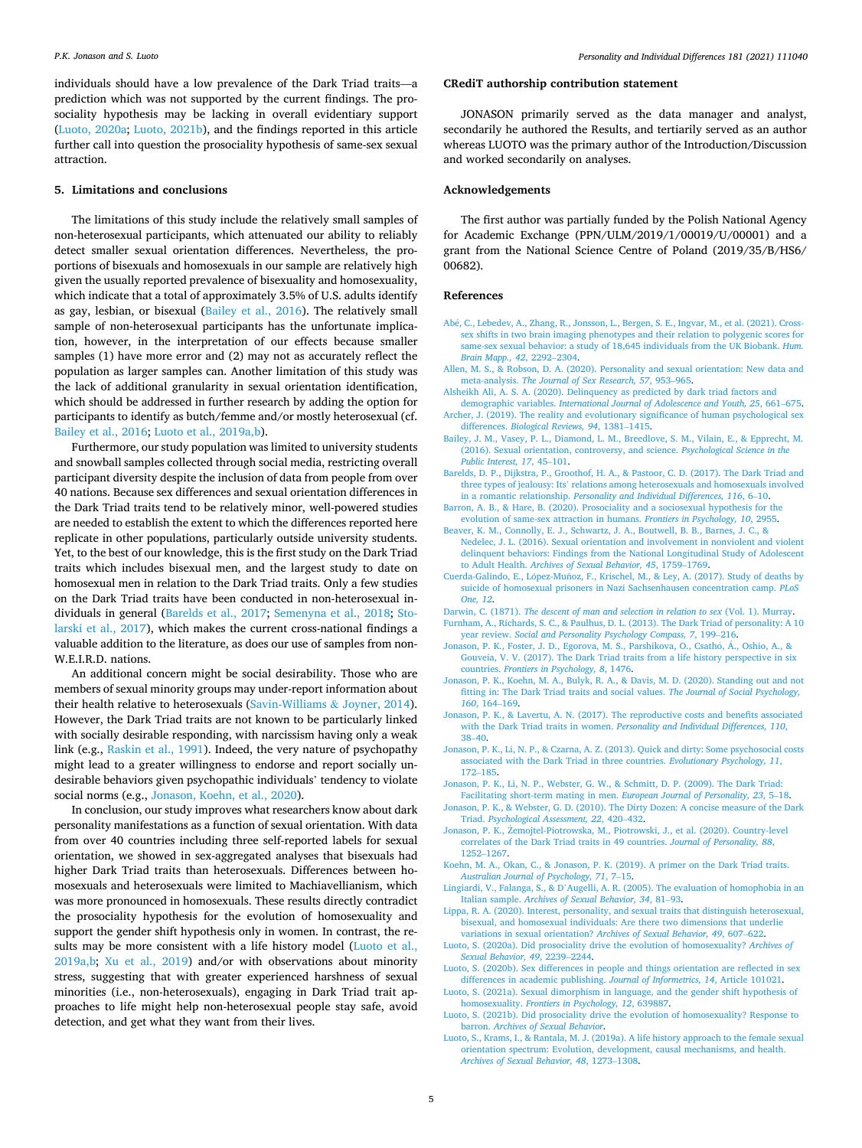*Personality and Individual Differences 181 (2021) 111040*

<span id="page-4-0"></span>individuals should have a low prevalence of the Dark Triad traits—a prediction which was not supported by the current findings. The prosociality hypothesis may be lacking in overall evidentiary support (Luoto, 2020a; Luoto, 2021b), and the findings reported in this article further call into question the prosociality hypothesis of same-sex sexual attraction.

#### **5. Limitations and conclusions**

The limitations of this study include the relatively small samples of non-heterosexual participants, which attenuated our ability to reliably detect smaller sexual orientation differences. Nevertheless, the proportions of bisexuals and homosexuals in our sample are relatively high given the usually reported prevalence of bisexuality and homosexuality, which indicate that a total of approximately 3.5% of U.S. adults identify as gay, lesbian, or bisexual (Bailey et al., 2016). The relatively small sample of non-heterosexual participants has the unfortunate implication, however, in the interpretation of our effects because smaller samples (1) have more error and (2) may not as accurately reflect the population as larger samples can. Another limitation of this study was the lack of additional granularity in sexual orientation identification, which should be addressed in further research by adding the option for participants to identify as butch/femme and/or mostly heterosexual (cf. Bailey et al., 2016; Luoto et al., 2019a,b).

Furthermore, our study population was limited to university students and snowball samples collected through social media, restricting overall participant diversity despite the inclusion of data from people from over 40 nations. Because sex differences and sexual orientation differences in the Dark Triad traits tend to be relatively minor, well-powered studies are needed to establish the extent to which the differences reported here replicate in other populations, particularly outside university students. Yet, to the best of our knowledge, this is the first study on the Dark Triad traits which includes bisexual men, and the largest study to date on homosexual men in relation to the Dark Triad traits. Only a few studies on the Dark Triad traits have been conducted in non-heterosexual individuals in general (Barelds et al., 2017; [Semenyna et al., 2018;](#page-5-0) [Sto](#page-5-0)[larski et al., 2017](#page-5-0)), which makes the current cross-national findings a valuable addition to the literature, as does our use of samples from non-W.E.I.R.D. nations.

An additional concern might be social desirability. Those who are members of sexual minority groups may under-report information about their health relative to heterosexuals [\(Savin-Williams](#page-5-0) & Joyner, 2014). However, the Dark Triad traits are not known to be particularly linked with socially desirable responding, with narcissism having only a weak link (e.g., [Raskin et al., 1991\)](#page-5-0). Indeed, the very nature of psychopathy might lead to a greater willingness to endorse and report socially undesirable behaviors given psychopathic individuals' tendency to violate social norms (e.g., Jonason, Koehn, et al., 2020).

In conclusion, our study improves what researchers know about dark personality manifestations as a function of sexual orientation. With data from over 40 countries including three self-reported labels for sexual orientation, we showed in sex-aggregated analyses that bisexuals had higher Dark Triad traits than heterosexuals. Differences between homosexuals and heterosexuals were limited to Machiavellianism, which was more pronounced in homosexuals. These results directly contradict the prosociality hypothesis for the evolution of homosexuality and support the gender shift hypothesis only in women. In contrast, the results may be more consistent with a life history model (Luoto et al., 2019a,b; [Xu et al., 2019\)](#page-5-0) and/or with observations about minority stress, suggesting that with greater experienced harshness of sexual minorities (i.e., non-heterosexuals), engaging in Dark Triad trait approaches to life might help non-heterosexual people stay safe, avoid detection, and get what they want from their lives.

## **CRediT authorship contribution statement**

JONASON primarily served as the data manager and analyst, secondarily he authored the Results, and tertiarily served as an author whereas LUOTO was the primary author of the Introduction/Discussion and worked secondarily on analyses.

#### **Acknowledgements**

The first author was partially funded by the Polish National Agency for Academic Exchange (PPN/ULM/2019/1/00019/U/00001) and a grant from the National Science Centre of Poland (2019/35/B/HS6/ 00682).

#### **References**

- Ab´[e, C., Lebedev, A., Zhang, R., Jonsson, L., Bergen, S. E., Ingvar, M., et al. \(2021\). Cross](http://refhub.elsevier.com/S0191-8869(21)00417-7/rf2005)[sex shifts in two brain imaging phenotypes and their relation to polygenic scores for](http://refhub.elsevier.com/S0191-8869(21)00417-7/rf2005)  [same-sex sexual behavior: a study of 18,645 individuals from the UK Biobank.](http://refhub.elsevier.com/S0191-8869(21)00417-7/rf2005) *Hum. [Brain Mapp., 42](http://refhub.elsevier.com/S0191-8869(21)00417-7/rf2005)*, 2292–2304.
- [Allen, M. S., & Robson, D. A. \(2020\). Personality and sexual orientation: New data and](http://refhub.elsevier.com/S0191-8869(21)00417-7/rf0005)  meta-analysis. *[The Journal of Sex Research, 57](http://refhub.elsevier.com/S0191-8869(21)00417-7/rf0005)*, 953–965.
- [Alsheikh Ali, A. S. A. \(2020\). Delinquency as predicted by dark triad factors and](http://refhub.elsevier.com/S0191-8869(21)00417-7/rf0010)  demographic variables. *[International Journal of Adolescence and Youth, 25](http://refhub.elsevier.com/S0191-8869(21)00417-7/rf0010)*, 661–675.
- [Archer, J. \(2019\). The reality and evolutionary significance of human psychological sex](http://refhub.elsevier.com/S0191-8869(21)00417-7/rf0015)  differences. *[Biological Reviews, 94](http://refhub.elsevier.com/S0191-8869(21)00417-7/rf0015)*, 1381–1415.
- [Bailey, J. M., Vasey, P. L., Diamond, L. M., Breedlove, S. M., Vilain, E., & Epprecht, M.](http://refhub.elsevier.com/S0191-8869(21)00417-7/rf0020) [\(2016\). Sexual orientation, controversy, and science.](http://refhub.elsevier.com/S0191-8869(21)00417-7/rf0020) *Psychological Science in the [Public Interest, 17](http://refhub.elsevier.com/S0191-8869(21)00417-7/rf0020)*, 45–101.
- [Barelds, D. P., Dijkstra, P., Groothof, H. A., & Pastoor, C. D. \(2017\). The Dark Triad and](http://refhub.elsevier.com/S0191-8869(21)00417-7/rf0025)  three types of jealousy: Its' [relations among heterosexuals and homosexuals involved](http://refhub.elsevier.com/S0191-8869(21)00417-7/rf0025)  in a romantic relationship. *[Personality and Individual Differences, 116](http://refhub.elsevier.com/S0191-8869(21)00417-7/rf0025)*, 6–10.
- [Barron, A. B., & Hare, B. \(2020\). Prosociality and a sociosexual hypothesis for the](http://refhub.elsevier.com/S0191-8869(21)00417-7/rf0030) [evolution of same-sex attraction in humans.](http://refhub.elsevier.com/S0191-8869(21)00417-7/rf0030) *Frontiers in Psychology, 10*, 2955.
- [Beaver, K. M., Connolly, E. J., Schwartz, J. A., Boutwell, B. B., Barnes, J. C., &](http://refhub.elsevier.com/S0191-8869(21)00417-7/rf0035) [Nedelec, J. L. \(2016\). Sexual orientation and involvement in nonviolent and violent](http://refhub.elsevier.com/S0191-8869(21)00417-7/rf0035)  [delinquent behaviors: Findings from the National Longitudinal Study of Adolescent](http://refhub.elsevier.com/S0191-8869(21)00417-7/rf0035)  to Adult Health. *[Archives of Sexual Behavior, 45](http://refhub.elsevier.com/S0191-8869(21)00417-7/rf0035)*, 1759–1769.
- Cuerda-Galindo, E., López-Muñoz, F., Krischel, M., & Ley, A. (2017). Study of deaths by [suicide of homosexual prisoners in Nazi Sachsenhausen concentration camp.](http://refhub.elsevier.com/S0191-8869(21)00417-7/rf0040) *PLoS [One, 12](http://refhub.elsevier.com/S0191-8869(21)00417-7/rf0040)*.
- Darwin, C. (1871). *[The descent of man and selection in relation to sex](http://refhub.elsevier.com/S0191-8869(21)00417-7/rf0045)* (Vol. 1). Murray. [Furnham, A., Richards, S. C., & Paulhus, D. L. \(2013\). The Dark Triad of personality: A 10](http://refhub.elsevier.com/S0191-8869(21)00417-7/rf0050)
- year review. *[Social and Personality Psychology Compass, 7](http://refhub.elsevier.com/S0191-8869(21)00417-7/rf0050)*, 199–216.
- Jonason, P. K., Foster, J. D., Egorova, M. S., Parshikova, O., Csathó, Á., Oshio, A., & [Gouveia, V. V. \(2017\). The Dark Triad traits from a life history perspective in six](http://refhub.elsevier.com/S0191-8869(21)00417-7/rf0055)  countries. *[Frontiers in Psychology, 8](http://refhub.elsevier.com/S0191-8869(21)00417-7/rf0055)*, 1476.
- [Jonason, P. K., Koehn, M. A., Bulyk, R. A., & Davis, M. D. \(2020\). Standing out and not](http://refhub.elsevier.com/S0191-8869(21)00417-7/rf0060)  [fitting in: The Dark Triad traits and social values.](http://refhub.elsevier.com/S0191-8869(21)00417-7/rf0060) *The Journal of Social Psychology, 160*[, 164](http://refhub.elsevier.com/S0191-8869(21)00417-7/rf0060)–169.
- [Jonason, P. K., & Lavertu, A. N. \(2017\). The reproductive costs and benefits associated](http://refhub.elsevier.com/S0191-8869(21)00417-7/rf0065)  with the Dark Triad traits in women. *[Personality and Individual Differences, 110](http://refhub.elsevier.com/S0191-8869(21)00417-7/rf0065)*, 38–[40](http://refhub.elsevier.com/S0191-8869(21)00417-7/rf0065).
- [Jonason, P. K., Li, N. P., & Czarna, A. Z. \(2013\). Quick and dirty: Some psychosocial costs](http://refhub.elsevier.com/S0191-8869(21)00417-7/rf0070)  [associated with the Dark Triad in three countries.](http://refhub.elsevier.com/S0191-8869(21)00417-7/rf0070) *Evolutionary Psychology, 11*, 172–[185](http://refhub.elsevier.com/S0191-8869(21)00417-7/rf0070).
- [Jonason, P. K., Li, N. P., Webster, G. W., & Schmitt, D. P. \(2009\). The Dark Triad:](http://refhub.elsevier.com/S0191-8869(21)00417-7/rf0075)
- [Facilitating short-term mating in men.](http://refhub.elsevier.com/S0191-8869(21)00417-7/rf0075) *European Journal of Personality, 23*, 5–18. [Jonason, P. K., & Webster, G. D. \(2010\). The Dirty Dozen: A concise measure of the Dark](http://refhub.elsevier.com/S0191-8869(21)00417-7/rf0080)  Triad. *[Psychological Assessment, 22](http://refhub.elsevier.com/S0191-8869(21)00417-7/rf0080)*, 420–432.
- [Jonason, P. K., Zemojtel-Piotrowska, M., Piotrowski, J., et al. \(2020\). Country-level](http://refhub.elsevier.com/S0191-8869(21)00417-7/rf0085) ˙ [correlates of the Dark Triad traits in 49 countries.](http://refhub.elsevier.com/S0191-8869(21)00417-7/rf0085) *Journal of Personality, 88*, [1252](http://refhub.elsevier.com/S0191-8869(21)00417-7/rf0085)–1267.
- [Koehn, M. A., Okan, C., & Jonason, P. K. \(2019\). A primer on the Dark Triad traits.](http://refhub.elsevier.com/S0191-8869(21)00417-7/rf0090)  *[Australian Journal of Psychology, 71](http://refhub.elsevier.com/S0191-8869(21)00417-7/rf0090)*, 7–15.
- Lingiardi, V., Falanga, S., & D'[Augelli, A. R. \(2005\). The evaluation of homophobia in an](http://refhub.elsevier.com/S0191-8869(21)00417-7/rf0095)  Italian sample. *[Archives of Sexual Behavior, 34](http://refhub.elsevier.com/S0191-8869(21)00417-7/rf0095)*, 81–93.
- [Lippa, R. A. \(2020\). Interest, personality, and sexual traits that distinguish heterosexual,](http://refhub.elsevier.com/S0191-8869(21)00417-7/rf0100)  [bisexual, and homosexual individuals: Are there two dimensions that underlie](http://refhub.elsevier.com/S0191-8869(21)00417-7/rf0100) [variations in sexual orientation?](http://refhub.elsevier.com/S0191-8869(21)00417-7/rf0100) *Archives of Sexual Behavior, 49*, 607–622.
- [Luoto, S. \(2020a\). Did prosociality drive the evolution of homosexuality?](http://refhub.elsevier.com/S0191-8869(21)00417-7/rf0105) *Archives of [Sexual Behavior, 49](http://refhub.elsevier.com/S0191-8869(21)00417-7/rf0105)*, 2239–2244.

[Luoto, S. \(2020b\). Sex differences in people and things orientation are reflected in sex](http://refhub.elsevier.com/S0191-8869(21)00417-7/rf0110) [differences in academic publishing.](http://refhub.elsevier.com/S0191-8869(21)00417-7/rf0110) *Journal of Informetrics, 14*, Article 101021.

- [Luoto, S. \(2021a\). Sexual dimorphism in language, and the gender shift hypothesis of](http://refhub.elsevier.com/S0191-8869(21)00417-7/rf2060) homosexuality. *[Frontiers in Psychology, 12](http://refhub.elsevier.com/S0191-8869(21)00417-7/rf2060)*, 639887.
- [Luoto, S. \(2021b\). Did prosociality drive the evolution of homosexuality? Response to](http://refhub.elsevier.com/S0191-8869(21)00417-7/rf6005) barron. *[Archives of Sexual Behavior](http://refhub.elsevier.com/S0191-8869(21)00417-7/rf6005)*.
- [Luoto, S., Krams, I., & Rantala, M. J. \(2019a\). A life history approach to the female sexual](http://refhub.elsevier.com/S0191-8869(21)00417-7/rf0115)  [orientation spectrum: Evolution, development, causal mechanisms, and health.](http://refhub.elsevier.com/S0191-8869(21)00417-7/rf0115) *[Archives of Sexual Behavior, 48](http://refhub.elsevier.com/S0191-8869(21)00417-7/rf0115)*, 1273–1308.